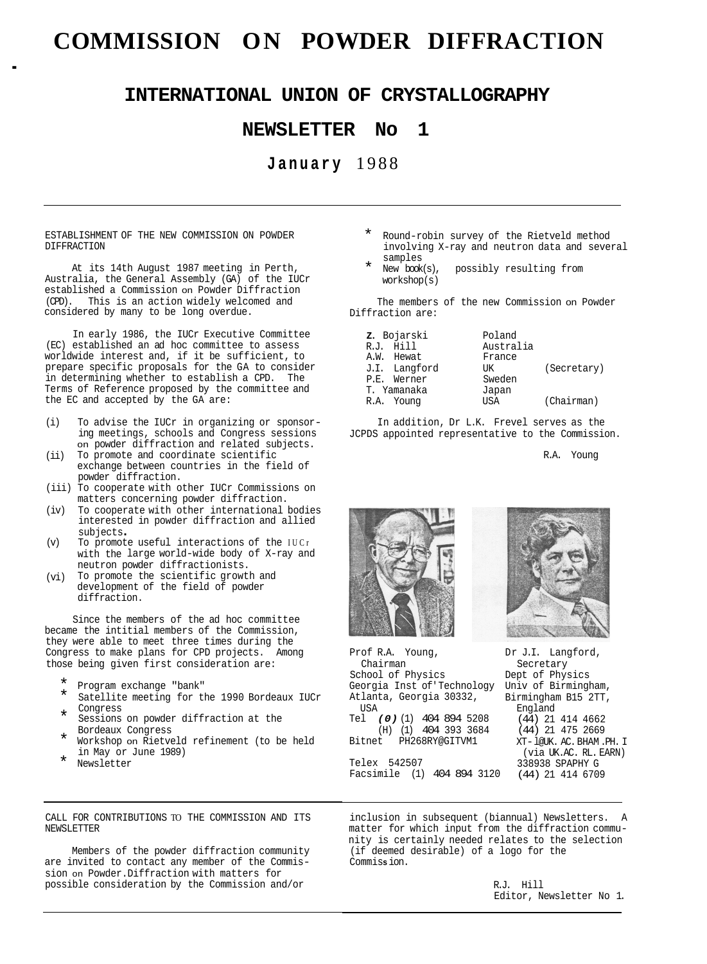# **COMMISSION ON POWDER DIFFRACTION** .

# **INTERNATIONAL UNION OF CRYSTALLOGRAPHY**

# **NEWSLETTER No 1**

# **January** 1988

ESTABLISHMENT OF THE NEW COMMISSION ON POWDER DIFFRACTION

At its 14th August 1987 meeting in Perth, Australia, the General Assembly (GA) of the IUCr established a Commission on Powder Diffraction (CPD). This is an action widely welcomed and considered by many to be long overdue.

In early 1986, the IUCr Executive Committee (EC) established an ad hoc committee to assess worldwide interest and, if it be sufficient, to prepare specific proposals for the GA to consider in determining whether to establish a CPD. The Terms of Reference proposed by the committee and the EC and accepted by the GA are:

- (i) To advise the IUCr in organizing or sponsor- ing meetings, schools and Congress sessions on powder diffraction and related subjects.
- To promote and coordinate scientific exchange between countries in the field of powder diffraction.<br>(iii) To cooperate with other IUCr Commissions on (ii)
- matters concerning powder diffraction.<br>(iv) To cooperate with other international
- To cooperate with other international bodies interested in powder diffraction and allied subjects .
- with the large world-wide body of X-ray and neutron powder diffractionists. (v) To promote useful interactions of the IUCr
- To promote the scientific growth and development of the field of powder diffraction. (vi)

Since the members of the ad hoc committee became the intitial members of the Commission, they were able to meet three times during the Congress to make plans for CPD projects. Among those being given first consideration are:

- 
- Program exchange "bank"<br>Satellite meeting for the 1990 Bordeaux IUCr Congress
- Sessions on powder diffraction at the Bordeaux Congress
- Workshop on Rietveld refinement (to be held in May or June 1989)
- Newsletter
- Round-robin survey of the Rietveld method involving X-ray and neutron data and several
- samples<br>New book(s), workshop(s) possibly resulting from

The members of the new Commission on Powder Diffraction are:

| z. Bojarski   | Poland    |             |
|---------------|-----------|-------------|
| R.J. Hill     | Australia |             |
| A.W. Hewat    | France    |             |
| J.I. Langford | TJK       | (Secretary) |
| P.E. Werner   | Sweden    |             |
| T. Yamanaka   | Japan     |             |
| R.A. Young    | USA       | (Chairman)  |

In addition, Dr L.K. Frevel serves as the JCPDS appointed representative to the Commission.

R.A. Young



Prof R.A. Young, School of Physics Georgia Inst of' Technology Atlanta, Georgia 30332, Tel *(0)* (1) 404 894 5208 (H) (1) 404 393 3684 Bitnet PH268RY@GITVM1 Chairman **IISA** 

Telex 542507 Facsimile (1) 404 894 3120



Dr J.I. Langford, Dept of Physics Univ of Birmingham, Birmingham B15 2TT, Secretary England (44) 21 414 4662 (44) 21 475 2669 XT- l@UK. AC. BHAM .PH. I 338938 SPAPHY G (44) 21 414 6709 (via UK.AC. RL. EARN)

CALL FOR CONTRIBUTIONS TO THE COMMISSION AND ITS NEWSLETTER

Members of the powder diffraction community are invited to contact any member of the Commission on Powder.Diffraction with matters for possible consideration by the Commission and/or

inclusion in subsequent (biannual) Newsletters. A matter for which input from the diffraction community is certainly needed relates to the selection (if deemed desirable) of a logo for the Commis **s** ion.

> R.J. Hill Editor, Newsletter No 1.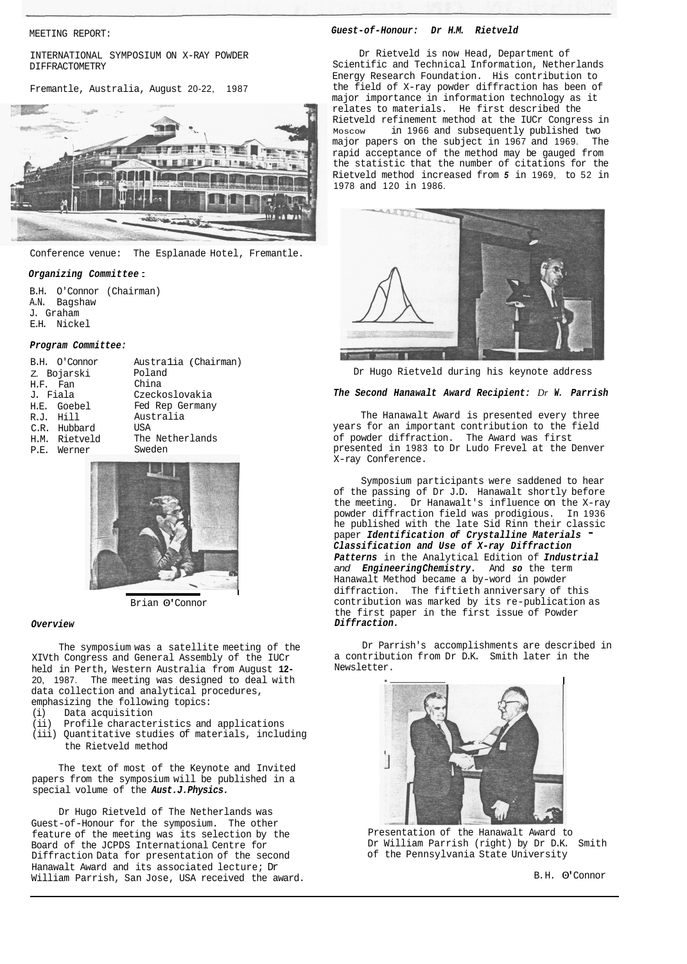MEETING REPORT:

INTERNATIONAL SYMPOSIUM ON X-RAY POWDER DI FFRACTOMETRY

Fremantle, Australia, August 20-22, 1987



Conference venue: The Esplanade Hotel, Fremantle.

## *Organizing Commit tee* :

B.H. O'Connor (Chairman) A.N. Bagshaw J. Graham E.H. Nickel

### *Program Committee:*

|           | B.H. O'Connor | Australia (Chairman) |
|-----------|---------------|----------------------|
|           | Z. Bojarski   | Poland               |
| H.F. Fan  |               | China                |
| J. Fiala  |               | Czeckoslovakia       |
|           | H.E. Goebel   | Fed Rep Germany      |
| R.J. Hill |               | Australia            |
|           | C.R. Hubbard  | USA                  |
|           | H.M. Rietveld | The Netherlands      |
|           | P.E. Werner   | Sweden               |
|           |               |                      |



Brian 0' Connor

#### *Overview*

The symposium was a satellite meeting of the XIVth Congress and General Assembly of the IUCr held in Perth, Western Australia from August **12-**  20, 1987. The meeting was designed to deal with data collection and analytical procedures,

- emphasizing the following topics:
- (i) Data acquisition
- (ii) Profile characteristics and applications
- (iii) Quantitative studies of materials, including the Rietveld method

The text of most of the Keynote and Invited papers from the symposium will be published in a special volume of the *Aust.J.Physics.* 

Dr Hugo Rietveld of The Netherlands was Guest-of-Honour for the symposium. The other feature of the meeting was its selection by the Board of the JCPDS International Centre for Diffraction Data for presentation of the second Hanawalt Award and its associated lecture; Dr William Parrish, San Jose, USA received the award.

## *Guest-of-Honour: Dr H.M. Rietveld*

Dr Rietveld is now Head, Department of Scientific and Technical Information, Netherlands Energy Research Foundation. His contribution to the field of X-ray powder diffraction has been of major importance in information technology as it relates to materials. He first described the Rietveld refinement method at the IUCr Congress in in 1966 and subsequently published two<br>rs on the subject in 1967 and 1969. The major papers on the subject in 1967 and 1969. rapid acceptance of the method may be gauged from the statistic that the number of citations for the Rietveld method increased from *5* in 1969, to 52 in 1978 and 120 in 1986.



Dr Hugo Rietveld during his keynote address

## *The Second Hanawalt Award Recipient: Dr W. Parrish*

The Hanawalt Award is presented every three years for an important contribution to the field of powder diffraction. The Award was first presented in 1983 to Dr Ludo Frevel at the Denver X-ray Conference.

Symposium participants were saddened to hear of the passing of Dr J.D. Hanawalt shortly before the meeting. Dr Hanawalt's influence on the X-ray powder diffraction field was prodigious. In 1936 he published with the late Sid Rinn their classic paper *Identification of Crystalline Materials* - *Classification and Use of X-ray Diffraction Patterns* in the Analytical Edition of *Industrial and Engineering Chemistry.* And *so* the term Hanawalt Method became a by-word in powder diffraction. The fiftieth anniversary of this contribution was marked by its re-publication as the first paper in the first issue of Powder *Diffraction.*  the meeting. Dr Hanawalt's influence on the power diffraction field was prodigious.<br>
The published with the late Sid Rinn their competent of crystalline Materia<br>
classification and Use of X-ray Diffraction<br>
Patterns in the

Dr Parrish's accomplishments are described in a contribution from Dr D.K. Smith later in the Newsletter.



Presentation of the Hanawalt Award to Dr William Parrish (right) by Dr D.K. Smith of the Pennsylvania State University

B. H. 0' Connor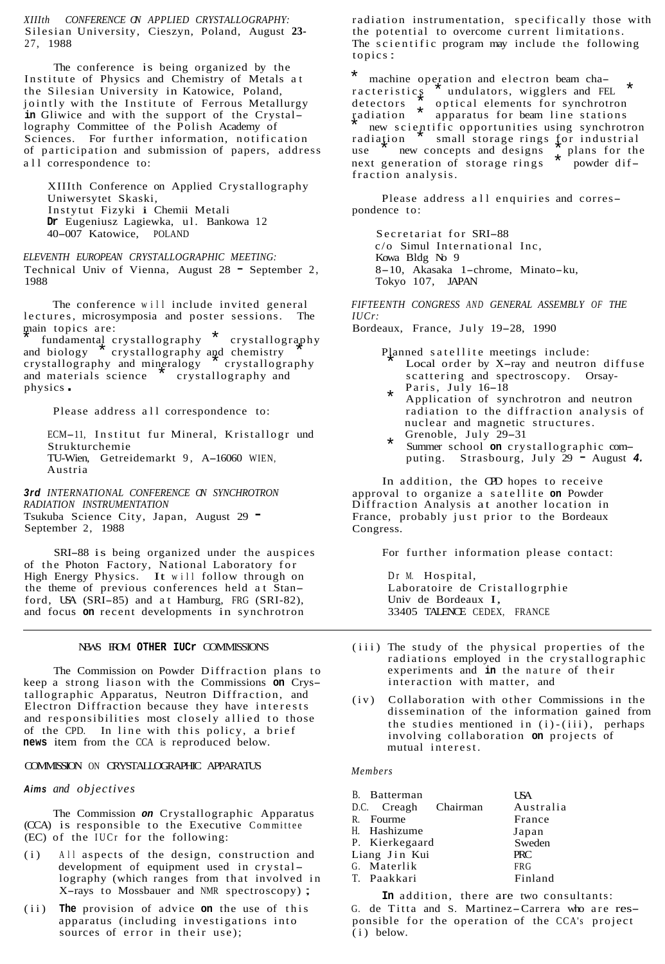*XIIIth CONFERENCE ON APPLIED CRYSTALLOGRAPHY:*  Silesian University, Cieszyn, Poland, August **23-**  27, 1988

The conference is being organized by the Institute of Physics and Chemistry of Metals at the Silesian University in Katowice, Poland, jointly with the Institute of Ferrous Metallurgy in Gliwice and with the support of the Crystallography Committee of the Polish Academy of Sciences. For further information, notification of participation and submission of papers, address all correspondence to:

XIIIth Conference on Applied Crystallography Uniwersytet Skaski, Instytut Fizyki i Chemii Metali **Dr** Eugeniusz Lagiewka, ul. Bankowa 12 40-007 Katowice, POLAND

*ELEVENTH EUROPEAN CRYSTALLOGRAPHIC MEETING:*  Technical Univ of Vienna, August 28 - September 2, 1988

The conference will include invited general lectures, microsymposia and poster sessions. The main topics are:

main to prive are:<br>
fundamental crystallography \* crystallography<br>
and biology crystallography and chemistry crystallography and chemistry crystallography and mineralogy \* crystallography and materials science \* crystallography and physics .

Please address all correspondence to:

ECM-11, Institut fur Mineral, Kristallogr und Strukturchemie TU-Wien, Getreidemarkt 9, A-16060 WIEN, Austria

*3rd INTERNATIONAL CONFERENCE ON SYNCHROTRON RADIATION INSTRUMENTATION*  Tsukuba Science City, Japan, August 29 - September 2, 1988

SRI-88 is being organized under the auspices of the Photon Factory, National Laboratory for High Energy Physics. It will follow through on the theme of previous conferences held at Stanford, USA (SRI-85) and at Hamburg, FRG (SRI-82), and focus **on** recent developments in synchrotron

## NEWS FROM OTHER THO<sub>r</sub> COMMISSIONS

The Commission on Powder Diffraction plans to keep a strong liason with the Commissions **on** Crystallographic Apparatus, Neutron Diffraction, and Electron Diffraction because they have interests and responsibilities most closely allied to those of the CPD. In line with this policy, a brief **news** item from the CCA is reproduced below.

## COMMISSION ON CRYSTALLOGRAPHIC APPARATUS

## *Aims and objectives*

The Commission *on* Crystallographic Apparatus (CCA) is responsible to the Executive Committee (EC) of the IUCr for the following:

- (i) All aspects of the design, construction and development of equipment used in crystallography (which ranges from that involved in X-rays to Mossbauer and NMR spectroscopy) ;
- (ii) **The** provision of advice **on** the use of this apparatus (including investigations into sources of error in their use);

radiation instrumentation, specifically those with the potential to overcome current limitations. The scientific program may include the following topics :

\* machine operation and electron beam cha-<br>racteristics \* undulators, wigglers and FE undulators, wigglers and FEL detectors  $\frac{1}{x}$  optical elements for synchrotron radiation \* prices for beam line stations<br>
new scientific opportunities using synchrotron radiation \* scientific opportunities using synchrotron<br>radiation \* small storage rings for industrial<br>use the new concents and designs \* plans for the new concepts and designs  $\hat{\tau}$  plans for the neration of storage rings  $\hat{\tau}$  powder difnext generation of storage rings fraction analysis.

Please address all enquiries and correspondence to:

Secretariat for SRI-88 c/o Simul International Inc, Kowa Bldg No 9 8-10, Akasaka 1-chrome, Minato-ku, Tokyo 107, JAPAN

*FIFTEENTH CONGRESS AND GENERAL ASSEMBLY OF THE IUCr:* 

Bordeaux, France, July 19-28, 1990

- Planned satellite meetings include: \* Local order by X-ray and neutron diffuse scattering and spectroscopy. Orsay-<br>  $\star$  Paris, July 16-18
	- Application of synchrotron and neutron radiation to the diffraction analysis of nuclear and magnetic structures. Grenoble, July 29-31
- puting. Strasbourg, July 29 August *4.*  \* Summer school **on** crystallographic com-

In addition, the CPD hopes to receive approval to organize a satellite **on** Powder Diffraction Analysis at another location in France, probably just prior to the Bordeaux Congress.

For further information please contact:

Dr M. Hospital, Laboratoire de Cristallogrphie Univ de Bordeaux I, 33405 TALENCE CEDEX, FRANCE

- (iii) The study of the physical properties of the radiations employed in the crystallographic experiments and **in** the nature of their interaction with matter, and
- (iv) Collaboration with other Commissions in the dissemination of the information gained from the studies mentioned in  $(i)$ - $(iii)$ , perhaps involving collaboration **on** projects of mutual interest.

*Members* 

| B. Batterman         | USA.       |
|----------------------|------------|
| D.C. Creagh Chairman | Australia  |
| R. Fourme            | France     |
| H. Hashizume         | Japan      |
| P. Kierkegaard       | Sweden     |
| Liang Jin Kui        | <b>PRC</b> |
| G. Materlik          | <b>FRG</b> |
| T. Paakkari          | Finland    |
|                      |            |

**In** addition, there are two consultants: G. de Titta and S. Martinez-Carrera who are responsible for the operation of the CCA's project  $(i)$  below.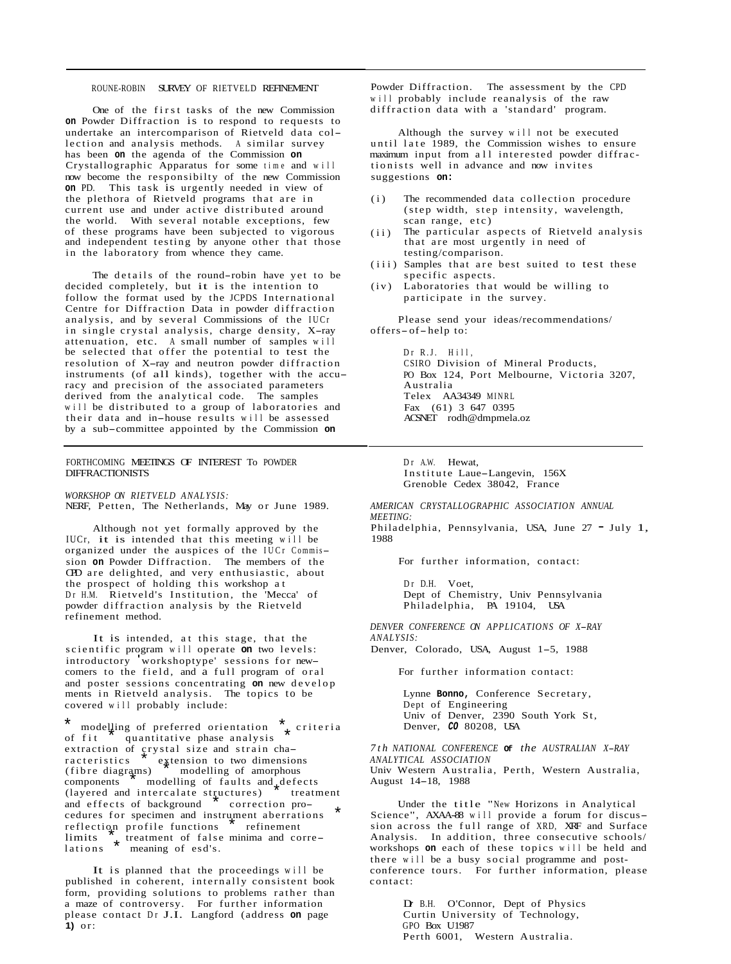## ROUNE-ROBIN SURVEY OF RIETVELD REFINEMENT

One of the first tasks of the new Commission **on** Powder Diffraction is to respond to requests to undertake an intercomparison of Rietveld data collection and analysis methods. A similar survey has been **on** the agenda of the Commission **on**  Crystallographic Apparatus for some time and will now become the responsibilty of the new Commission **on** PD. This task is urgently needed in view of the plethora of Rietveld programs that are in current use and under active distributed around the world. With several notable exceptions, few of these programs have been subjected to vigorous and independent testing by anyone other that those in the laboratory from whence they came.

The details of the round-robin have yet to be decided completely, but it is the intention to follow the format used by the JCPDS International Centre for Diffraction Data in powder diffraction analysis, and by several Commissions of the IUCr in single crystal analysis, charge density, X-ray attenuation, etc. A small number of samples will be selected that offer the potential to test the resolution of X-ray and neutron powder diffraction instruments (of all kinds), together with the accuracy and precision of the associated parameters derived from the analytical code. The samples will be distributed to a group of laboratories and their data and in-house results will be assessed by a sub-committee appointed by the Commission **on** 

## FORTHCOMING MEETINGS OF INTEREST To POWDER DIFFRACTIONISTS

*WORKSHOP ON RIETVELD ANALYSIS:*  NERF, Petten, The Netherlands, May or June 1989.

Although not yet formally approved by the IUCr, it is intended that this meeting will be organized under the auspices of the IUCr Commission **on** Powder Diffraction. The members of the CPD are delighted, and very enthusiastic, about the prospect of holding this workshop at Dr H.M. Rietveld's Institution, the 'Mecca' of powder diffraction analysis by the Rietveld refinement method.

It is intended, at this stage, that the scientific program will operate **on** two levels: introductory workshoptype' sessions for newcomers to the field, and a full program of oral and poster sessions concentrating **on** new develop ments in Rietveld analysis. The topics to be covered will probably include:

\* modelling of preferred orientation  $*$  criteria<br>of fit quantitative phase analysis quantitative phase analysis or rit — quantitative phase analysis<br>extraction of çrystal size and strain cha $r_{\text{r}}$  racteristics  $\sum_{\text{r}}^{\text{r}}$  extension to two dimensions  $\frac{1}{4}$ (fibre diagrams) and interesting of amorphous components  $\frac{1}{2}$  modelling of faults and  $\frac{1}{2}$  defects example and intercalate structures) treatment<br>and effects of background  $\overrightarrow{r}$  correction proand effects of background  $\overline{c}$  correction pro-<br>cedures for specimen and instrument aberrations<br>reflection profile functions  $\overline{c}$  refinement reflection profile functions reflection profile functions fremement<br>limits  $\star$  treatment of false minima and correlations \* meaning of esd's.

It is planned that the proceedings will be published in coherent, internally consistent book form, providing solutions to problems rather than a maze of controversy. For further information please contact Dr J.I. Langford (address **on** page **1)** or:

Powder Diffraction. The assessment by the CPD will probably include reanalysis of the raw diffraction data with a 'standard' program.

Although the survey will not be executed until late 1989, the Commission wishes to ensure maximum input from all interested powder diffractionists well in advance and now invites suggestions **on:** 

- (i) The recommended data collection procedure (step width, step intensity, wavelength, scan range, etc)
- The particular aspects of Rietveld analysis that are most urgently in need of testing/comparison.  $(iii)$
- specific aspects. (iii) Samples that are best suited to test these
- participate in the survey. (iv) Laboratories that would be willing to

Please send your ideas/recommendations/ offers-of-help to:

> Dr R.J. Hill, CSIRO Division of Mineral Products, PO Box 124, Port Melbourne, Victoria 3207, Australia Telex AA34349 MINRL Fax (61) 3 647 0395 ACSNET rodh@dmpmela.oz

Dr A.W. Hewat, Institute Laue-Langevin, 156X Grenoble Cedex 38042, France

*AMERICAN CRYSTALLOGRAPHIC ASSOCIATION ANNUAL MEETING:*  Philadelphia, Pennsylvania, USA, June 27 - July 1, 1988

For further information, contact:

Dr D.H. Voet, Dept of Chemistry, Univ Pennsylvania Philadelphia, PA 19104, USA

*DENVER CONFERENCE ON APPLICATIONS OF X-RAY ANALYSIS:* 

Denver, Colorado, USA, August 1-5, 1988

For further information contact:

Lynne **Bonno,** Conference Secretary, Dept of Engineering Univ of Denver, 2390 South York St, Denver, *CO* 80208, USA

*7th NATIONAL CONFERENCE* **Of** *the AUSTRALIAN X-RAY ANALYTICAL ASSOCIATION*  Univ Western Australia, Perth, Western Australia, August 14-18, 1988

Under the title "New Horizons in Analytical Science", AXAA-88 will provide a forum for discussion across the full range of XRD, XRF and Surface Analysis. In addition, three consecutive schools/ workshops **on** each of these topics will be held and there will be a busy social programme and postconference tours. For further information, please contact:

> Dr B.H. O'Connor, Dept of Physics Curtin University of Technology, GPO Box U1987 Perth 6001, Western Australia.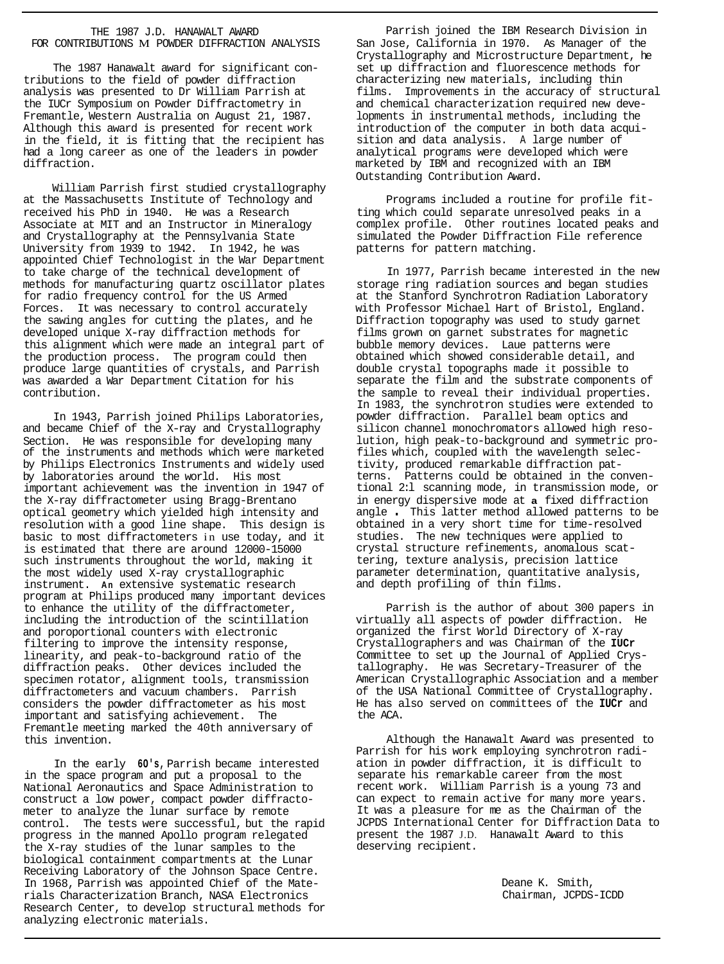## THE 1987 J.D. HANAWALT AWARD FOR CONTRIBUTIONS M POWDER DIFFRACTION ANALYSIS

The 1987 Hanawalt award for significant contributions to the field of powder diffraction analysis was presented to Dr William Parrish at the IUCr Symposium on Powder Diffractometry in Fremantle, Western Australia on August 21, 1987. Although this award is presented for recent work in the field, it is fitting that the recipient has had a long career as one of the leaders in powder diffraction.

William Parrish first studied crystallography at the Massachusetts Institute of Technology and received his PhD in 1940. He was a Research Associate at MIT and an Instructor in Mineralogy and Crystallography at the Pennsylvania State University from 1939 to 1942. In 1942, he was appointed Chief Technologist in the War Department to take charge of the technical development of methods for manufacturing quartz oscillator plates for radio frequency control for the US Armed Forces. It was necessary to control accurately the sawing angles for cutting the plates, and he developed unique X-ray diffraction methods for this alignment which were made an integral part of the production process. The program could then produce large quantities of crystals, and Parrish was awarded a War Department Citation for his contribution.

In 1943, Parrish joined Philips Laboratories, and became Chief of the X-ray and Crystallography Section. He was responsible for developing many of the instruments and methods which were marketed by Philips Electronics Instruments and widely used by laboratories around the world. His most important achievement was the invention in 1947 of the X-ray diffractometer using Bragg-Brentano optical geometry which yielded high intensity and resolution with a good line shape. This design is basic to most diffractometers in use today, and it is estimated that there are around 12000-15000 such instruments throughout the world, making it the most widely used X-ray crystallographic instrument. **An** extensive systematic research program at Philips produced many important devices to enhance the utility of the diffractometer, including the introduction of the scintillation and poroportional counters with electronic filtering to improve the intensity response, linearity, and peak-to-background ratio of the diffraction peaks. Other devices included the specimen rotator, alignment tools, transmission diffractometers and vacuum chambers. Parrish considers the powder diffractometer as his most important and satisfying achievement. The Fremantle meeting marked the 40th anniversary of this invention.

In the early **6O's,** Parrish became interested in the space program and put a proposal to the National Aeronautics and Space Administration to construct a low power, compact powder diffractometer to analyze the lunar surface by remote control. The tests were successful, but the rapid progress in the manned Apollo program relegated the X-ray studies of the lunar samples to the biological containment compartments at the Lunar Receiving Laboratory of the Johnson Space Centre. In 1968, Parrish was appointed Chief of the Materials Characterization Branch, NASA Electronics Research Center, to develop structural methods for analyzing electronic materials.

Parrish joined the IBM Research Division in San Jose, California in 1970. As Manager of the Crystallography and Microstructure Department, he set up diffraction and fluorescence methods for characterizing new materials, including thin films. Improvements in the accuracy of structural and chemical characterization required new developments in instrumental methods, including the introduction of the computer in both data acquisition and data analysis. A large number of analytical programs were developed which were marketed by IBM and recognized with an IBM Outstanding Contribution Award.

Programs included a routine for profile fit-<br>ting which could separate unresolved peaks in a complex profile. Other routines located peaks and simulated the Powder Diffraction File reference patterns for pattern matching.

In 1977, Parrish became interested in the new storage ring radiation sources and began studies at the Stanford Synchrotron Radiation Laboratory with Professor Michael Hart of Bristol, England. Diffraction topography was used to study garnet films grown on garnet substrates for magnetic bubble memory devices. Laue patterns were obtained which showed considerable detail, and double crystal topographs made it possible to separate the film and the substrate components of the sample to reveal their individual properties. In 1983, the synchrotron studies were extended to powder diffraction. Parallel beam optics and silicon channel monochromators allowed high reso-<br>lution, high peak-to-background and symmetric profiles which, coupled with the wavelength selectivity, produced remarkable diffraction patterns. Patterns could be obtained in the conven- tional 2:l scanning mode, in transmission mode, or in energy dispersive mode at **a** fixed diffraction angle . This latter method allowed patterns to be obtained in a very short time for time-resolved studies. The new techniques were applied to crystal structure refinements, anomalous scattering, texture analysis, precision lattice parameter determination, quantitative analysis, and depth profiling of thin films.

Parrish is the author of about 300 papers in virtually all aspects of powder diffraction. He organized the first World Directory of X-ray Crystallographers and was Chairman of the **IUCr**  tallography. He was Secretary-Treasurer of the American Crystallographic Association and a member of the USA National Committee of Crystallography. He has also served on committees of the **IUCr** and the ACA.

Although the Hanawalt Award was presented to Parrish for his work employing synchrotron radiation in powder diffraction, it is difficult to separate his remarkable career from the most recent work. William Parrish is a young 73 and can expect to remain active for many more years. It was a pleasure for me as the Chairman of the JCPDS International Center for Diffraction Data to present the 1987 J.D. Hanawalt Award to this deserving recipient.

> Deane K. Smith, Chairman, JCPDS-ICDD